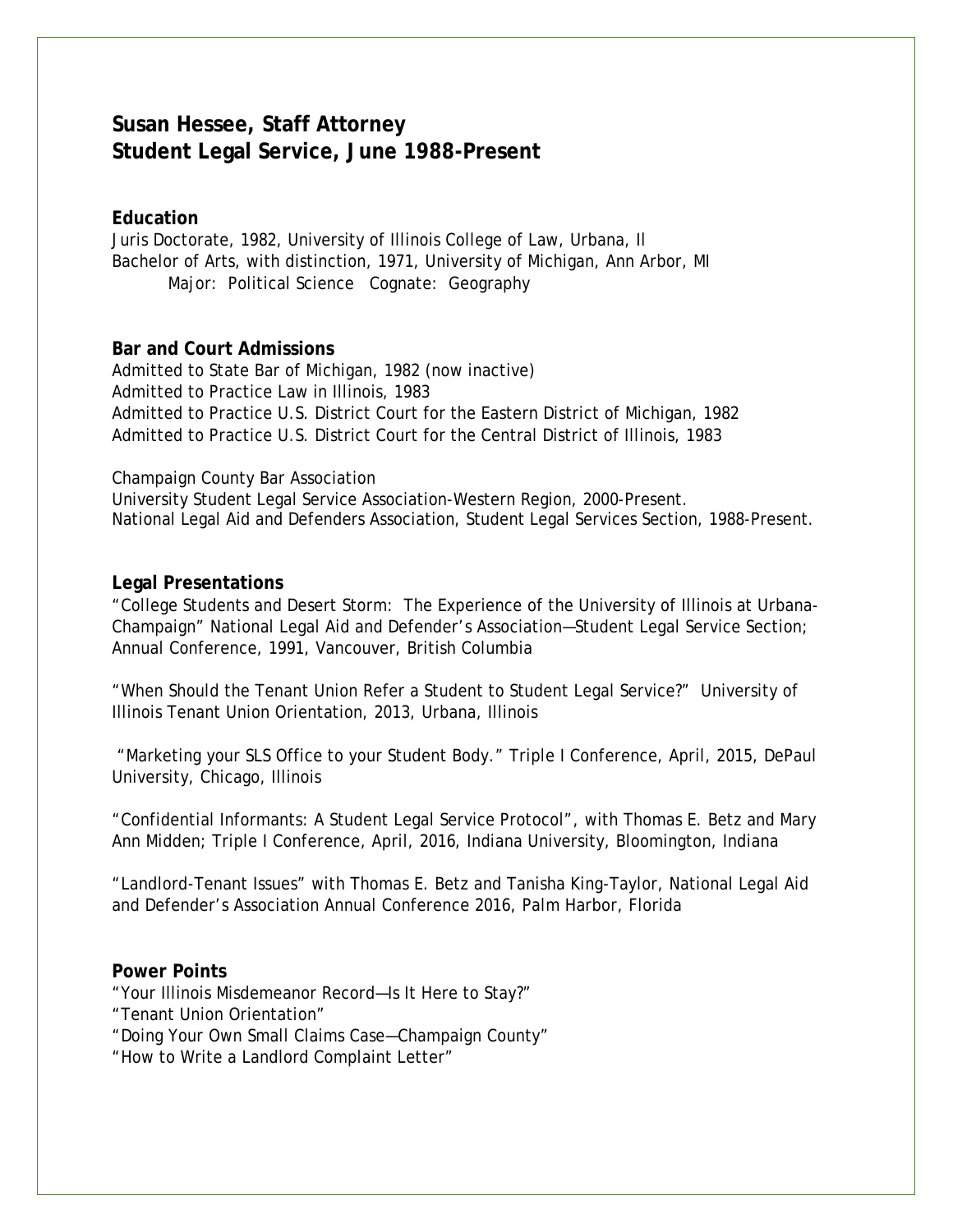# **Susan Hessee, Staff Attorney Student Legal Service, June 1988-Present**

### **Education**

Juris Doctorate, 1982, University of Illinois College of Law, Urbana, Il Bachelor of Arts, with distinction, 1971, University of Michigan, Ann Arbor, MI Major: Political Science Cognate: Geography

#### **Bar and Court Admissions**

Admitted to State Bar of Michigan, 1982 (now inactive) Admitted to Practice Law in Illinois, 1983 Admitted to Practice U.S. District Court for the Eastern District of Michigan, 1982 Admitted to Practice U.S. District Court for the Central District of Illinois, 1983

#### Champaign County Bar Association

University Student Legal Service Association-Western Region, 2000-Present. National Legal Aid and Defenders Association, Student Legal Services Section, 1988-Present.

#### **Legal Presentations**

"College Students and Desert Storm: The Experience of the University of Illinois at Urbana-Champaign" National Legal Aid and Defender's Association—Student Legal Service Section; Annual Conference, 1991, Vancouver, British Columbia

"When Should the Tenant Union Refer a Student to Student Legal Service?" University of Illinois Tenant Union Orientation, 2013, Urbana, Illinois

"Marketing your SLS Office to your Student Body." Triple I Conference, April, 2015, DePaul University, Chicago, Illinois

"Confidential Informants: A Student Legal Service Protocol", with Thomas E. Betz and Mary Ann Midden; Triple I Conference, April, 2016, Indiana University, Bloomington, Indiana

"Landlord-Tenant Issues" with Thomas E. Betz and Tanisha King-Taylor, National Legal Aid and Defender's Association Annual Conference 2016, Palm Harbor, Florida

#### **Power Points**

"Your Illinois Misdemeanor Record—Is It Here to Stay?"

- "Tenant Union Orientation"
- "Doing Your Own Small Claims Case—Champaign County"
- "How to Write a Landlord Complaint Letter"